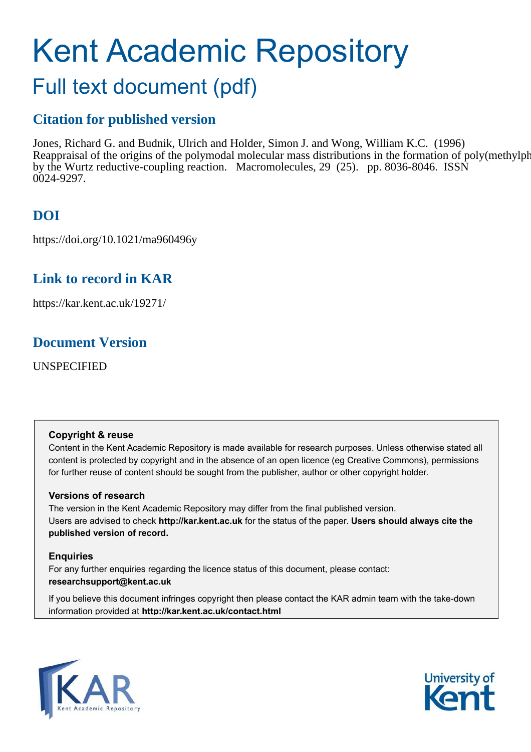# Kent Academic Repository Full text document (pdf)

## **Citation for published version**

Jones, Richard G. and Budnik, Ulrich and Holder, Simon J. and Wong, William K.C. (1996) Reappraisal of the origins of the polymodal molecular mass distributions in the formation of poly(methylphenylsilylene) by the Wurtz reductive-coupling reaction. Macromolecules, 29 (25). pp. 8036-8046. ISSN 0024-9297.

## **DOI**

https://doi.org/10.1021/ma960496y

## **Link to record in KAR**

https://kar.kent.ac.uk/19271/

## **Document Version**

UNSPECIFIED

### **Copyright & reuse**

Content in the Kent Academic Repository is made available for research purposes. Unless otherwise stated all content is protected by copyright and in the absence of an open licence (eg Creative Commons), permissions for further reuse of content should be sought from the publisher, author or other copyright holder.

### **Versions of research**

The version in the Kent Academic Repository may differ from the final published version. Users are advised to check **http://kar.kent.ac.uk** for the status of the paper. **Users should always cite the published version of record.**

### **Enquiries**

For any further enquiries regarding the licence status of this document, please contact: **researchsupport@kent.ac.uk**

If you believe this document infringes copyright then please contact the KAR admin team with the take-down information provided at **http://kar.kent.ac.uk/contact.html**



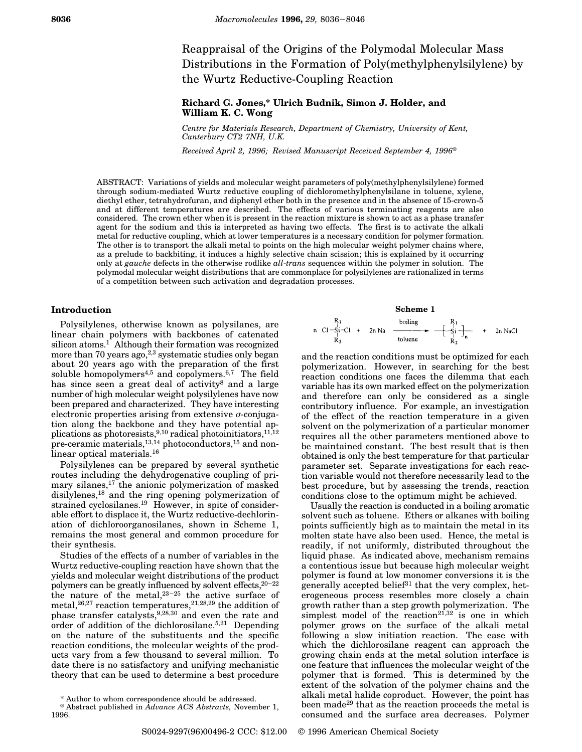Reappraisal of the Origins of the Polymodal Molecular Mass Distributions in the Formation of Poly(methylphenylsilylene) by the Wurtz Reductive-Coupling Reaction

#### **Richard G. Jones,\* Ulrich Budnik, Simon J. Holder, and William K. C. Wong**

*Centre for Materials Research, Department of Chemistry, University of Kent, Canterbury CT2 7NH, U.K.*

*Received April 2, 1996; Revised Manuscript Received September 4, 1996*<sup>X</sup>

ABSTRACT: Variations of yields and molecular weight parameters of poly(methylphenylsilylene) formed through sodium-mediated Wurtz reductive coupling of dichloromethylphenylsilane in toluene, xylene, diethyl ether, tetrahydrofuran, and diphenyl ether both in the presence and in the absence of 15-crown-5 and at different temperatures are described. The effects of various terminating reagents are also considered. The crown ether when it is present in the reaction mixture is shown to act as a phase transfer agent for the sodium and this is interpreted as having two effects. The first is to activate the alkali metal for reductive coupling, which at lower temperatures is a necessary condition for polymer formation. The other is to transport the alkali metal to points on the high molecular weight polymer chains where, as a prelude to backbiting, it induces a highly selective chain scission; this is explained by it occurring only at *gauche* defects in the otherwise rodlike *all*-*trans* sequences within the polymer in solution. The polymodal molecular weight distributions that are commonplace for polysilylenes are rationalized in terms of a competition between such activation and degradation processes.

#### **Introduction**

Polysilylenes, otherwise known as polysilanes, are linear chain polymers with backbones of catenated silicon atoms.<sup>1</sup> Although their formation was recognized more than 70 years ago,  $2,3$  systematic studies only began about 20 years ago with the preparation of the first soluble homopolymers $4,5$  and copolymers. $6,7$  The field has since seen a great deal of activity<sup>8</sup> and a large number of high molecular weight polysilylenes have now been prepared and characterized. They have interesting electronic properties arising from extensive  $\sigma$ -conjugation along the backbone and they have potential applications as photoresists,<sup>9,10</sup> radical photoinitiators,<sup>11,12</sup> pre-ceramic materials,<sup>13,14</sup> photoconductors,<sup>15</sup> and nonlinear optical materials.<sup>16</sup>

Polysilylenes can be prepared by several synthetic routes including the dehydrogenative coupling of primary silanes,<sup>17</sup> the anionic polymerization of masked disilylenes,<sup>18</sup> and the ring opening polymerization of strained cyclosilanes.<sup>19</sup> However, in spite of considerable effort to displace it, the Wurtz reductive-dechlorination of dichloroorganosilanes, shown in Scheme 1, remains the most general and common procedure for their synthesis.

Studies of the effects of a number of variables in the Wurtz reductive-coupling reaction have shown that the yields and molecular weight distributions of the product polymers can be greatly influenced by solvent effects,<sup>20</sup>-<sup>22</sup> the nature of the metal, $23-25$  the active surface of metal,  $26,27$  reaction temperatures,  $21,28,29$  the addition of phase transfer catalysts,9,28,30 and even the rate and order of addition of the dichlorosilane.5,21 Depending on the nature of the substituents and the specific reaction conditions, the molecular weights of the products vary from a few thousand to several million. To date there is no satisfactory and unifying mechanistic theory that can be used to determine a best procedure

#### **Scheme 1**

n Cl-Si-C1 + 2n Na  
\n
$$
\xrightarrow[N]{P_1} C1 - S_1 - C1 + 2n Na
$$
\n
$$
\xrightarrow[T]{\text{boling}} \xrightarrow[T]{P_1} + 2n NaCl
$$
\n
$$
\xrightarrow[T]{\text{toline}} \xrightarrow[T]{\text{toline}} \xrightarrow[T]{\text{totropic}} \xrightarrow[T]{\text{totropic}} \xrightarrow[T]{\text{totropic}} \xrightarrow[T]{\text{totropic}} \xrightarrow[T]{\text{totropic}} \xrightarrow[T]{\text{totropic}} \xrightarrow[T]{\text{totropic}} \xrightarrow[T]{\text{totropic}} \xrightarrow[T]{\text{totropic}} \xrightarrow[T]{\text{totropic}} \xrightarrow[T]{\text{totropic}} \xrightarrow[T]{\text{totropic}} \xrightarrow[T]{\text{totropic}} \xrightarrow[T]{\text{totropic}} \xrightarrow[T]{\text{totropic}} \xrightarrow[T]{\text{totropic}} \xrightarrow[T]{\text{totropic}} \xrightarrow[T]{\text{totropic}} \xrightarrow[T]{\text{totropic}} \xrightarrow[T]{\text{totropic}} \xrightarrow[T]{\text{totropic}} \xrightarrow[T]{\text{totropic}} \xrightarrow[T]{\text{totropic}} \xrightarrow[T]{\text{totropic}} \xrightarrow[T]{\text{totropic}} \xrightarrow[T]{\text{totropic}} \xrightarrow[T]{\text{totropic}} \xrightarrow[T]{\text{totropic}} \xrightarrow[T]{\text{totropic}} \xrightarrow[T]{\text{totropic}} \xrightarrow[T]{\text{totropic}} \xrightarrow[T]{\text{totropic}} \xrightarrow[T]{\text{totropic}} \xrightarrow[T]{\text{totropic}} \xrightarrow[T]{\text{totropic}} \xrightarrow[T]{\text{totropic}} \xrightarrow[T]{\text{totropic}} \xrightarrow[T]{\text{totropic}} \xrightarrow[T]{\text{totropic}} \xrightarrow[T]{\text{totropic}} \xrightarrow[T]{\text{totropic}} \xrightarrow[T]{\text{totropic}} \xrightarrow[T]{\text{totropic}} \xrightarrow[T]{\text{totropic}} \xrightarrow[T]{\text{totropic}} \xrightarrow[T]{\text{totropic}} \xrightarrow[T]{\text{totropic}} \xrightarrow[T]{\text{totropic}} \xrightarrow[T]{\text{totropic}} \xrightarrow[T]{\text{totropic}} \xrightarrow[T]{\text{totropic}} \xrightarrow[T]{\text{totropic}} \xrightarrow[T]{\text{totropic}} \xrightarrow[T]{\text{totropic}} \xrightarrow[T]{\text{totropic}} \xrightarrow[T]{\text{totropic}} \xrightarrow[T]{\text{totropic}} \xrightarrow[T]{\text{totropic}} \xrightarrow[T]{\text{totropic}} \xrightarrow[T]{\text{
$$

and the reaction conditions must be optimized for each polymerization. However, in searching for the best reaction conditions one faces the dilemma that each variable has its own marked effect on the polymerization and therefore can only be considered as a single contributory influence. For example, an investigation of the effect of the reaction temperature in a given solvent on the polymerization of a particular monomer requires all the other parameters mentioned above to be maintained constant. The best result that is then obtained is only the best temperature for that particular parameter set. Separate investigations for each reaction variable would not therefore necessarily lead to the best procedure, but by assessing the trends, reaction conditions close to the optimum might be achieved.

Usually the reaction is conducted in a boiling aromatic solvent such as toluene. Ethers or alkanes with boiling points sufficiently high as to maintain the metal in its molten state have also been used. Hence, the metal is readily, if not uniformly, distributed throughout the liquid phase. As indicated above, mechanism remains a contentious issue but because high molecular weight polymer is found at low monomer conversions it is the generally accepted belief<sup>31</sup> that the very complex, heterogeneous process resembles more closely a chain growth rather than a step growth polymerization. The simplest model of the reaction<sup>21,32</sup> is one in which polymer grows on the surface of the alkali metal following a slow initiation reaction. The ease with which the dichlorosilane reagent can approach the growing chain ends at the metal solution interface is one feature that influences the molecular weight of the polymer that is formed. This is determined by the extent of the solvation of the polymer chains and the alkali metal halide coproduct. However, the point has been made<sup>29</sup> that as the reaction proceeds the metal is consumed and the surface area decreases. Polymer

<sup>\*</sup> Author to whom correspondence should be addressed.

<sup>X</sup> Abstract published in *Advance ACS Abstracts,* November 1, 1996.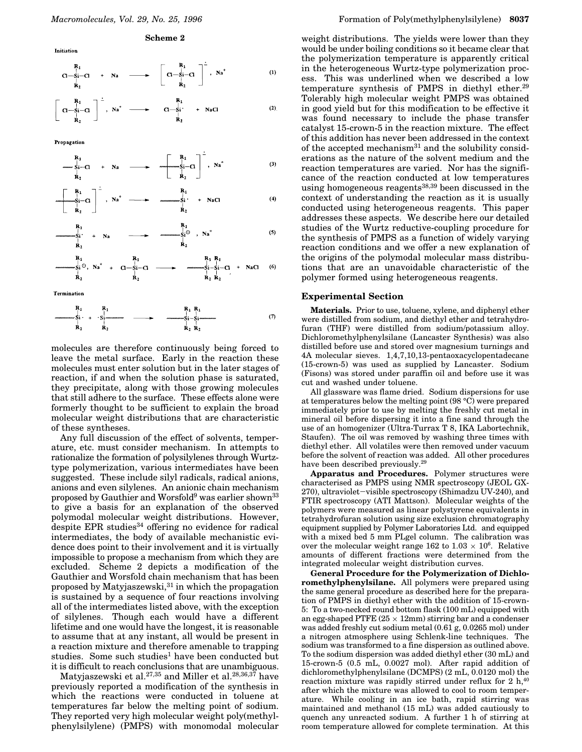$$
C1 - \underset{R_2}{\overset{N_1}{\sum}} C1 + Na \longrightarrow \left[ \begin{array}{c} R_1 \\ C1 - \underset{R_2}{\overset{N_1}{\sum}} C1 \end{array} \right]^2, Na^+ \tag{1}
$$

$$
\left[\begin{array}{c} R_1 \\ C l - S i - C l \\ R_2 \end{array}\right] \begin{array}{c} \ddots \\ \ddots \\ \ddots \\ R_l \end{array} \longrightarrow \qquad \begin{array}{c} R_1 \\ \ddots \\ \ddots \\ R_l \end{array} \longrightarrow \qquad \begin{array}{c} R_1 \\ \ddots \\ \ddots \\ R_l \end{array} \longrightarrow \qquad \begin{array}{c} \text{R}_1 \\ \ddots \\ \text{R}_l \end{array} \tag{2}
$$

Propagation

Initiation

$$
\begin{array}{ccc}\nR_1 \\
\longrightarrow & \text{Si}-Cl & +Na \\
R_2\n\end{array}\n\longrightarrow\n\begin{array}{ccc}\nR_1 \\
\longrightarrow & \text{Im} \text{Si}-Cl \\
R_2\n\end{array}
$$
\n
$$
(3)
$$

$$
\begin{array}{ccccccc}\n & R_1 & & \vdots & & R_1 & & R_1 & & \cdots & R_{11} & & \cdots & R_{12} & & \cdots & R_{13} & & \cdots & R_{14} & & \cdots & R_{15} & & \cdots & R_{16} & & & \cdots & R_{17} & & & \cdots & R_{18} & & & & \end{array}
$$
 (4)

$$
\begin{array}{ccc}\nR_1 \\
\vdots \\
R_2\n\end{array}\n\longrightarrow\n\begin{array}{ccc}\nR_1 \\
\downarrow \\
\downarrow \\
R_2\n\end{array}\n\longrightarrow\n\begin{array}{ccc}\nR_1 \\
\downarrow \\
\downarrow \\
R_2\n\end{array}, N^+ \tag{5}
$$

Termination

$$
\begin{array}{ccc}\n & R_1 & R_1 \\
\downarrow & \downarrow & \downarrow \\
 & \downarrow & \downarrow \\
 & R_2 & R_2\n\end{array}
$$

molecules are therefore continuously being forced to leave the metal surface. Early in the reaction these molecules must enter solution but in the later stages of reaction, if and when the solution phase is saturated, they precipitate, along with those growing molecules that still adhere to the surface. These effects alone were formerly thought to be sufficient to explain the broad molecular weight distributions that are characteristic of these syntheses.

Any full discussion of the effect of solvents, temperature, etc. must consider mechanism. In attempts to rationalize the formation of polysilylenes through Wurtztype polymerization, various intermediates have been suggested. These include silyl radicals, radical anions, anions and even silylenes. An anionic chain mechanism proposed by Gauthier and Worsfold<sup>9</sup> was earlier shown<sup>33</sup> to give a basis for an explanation of the observed polymodal molecular weight distributions. However, despite EPR studies<sup>34</sup> offering no evidence for radical intermediates, the body of available mechanistic evidence does point to their involvement and it is virtually impossible to propose a mechanism from which they are excluded. Scheme 2 depicts a modification of the Gauthier and Worsfold chain mechanism that has been proposed by Matyjaszewski,  $\!31}$  in which the propagation is sustained by a sequence of four reactions involving all of the intermediates listed above, with the exception of silylenes. Though each would have a different lifetime and one would have the longest, it is reasonable to assume that at any instant, all would be present in a reaction mixture and therefore amenable to trapping studies. Some such studies<sup>1</sup> have been conducted but it is difficult to reach conclusions that are unambiguous.

Matyjaszewski et al.<sup>27,35</sup> and Miller et al.<sup>28,36,37</sup> have previously reported a modification of the synthesis in which the reactions were conducted in toluene at temperatures far below the melting point of sodium. They reported very high molecular weight poly(methylphenylsilylene) (PMPS) with monomodal molecular

weight distributions. The yields were lower than they would be under boiling conditions so it became clear that the polymerization temperature is apparently critical in the heterogeneous Wurtz-type polymerization process. This was underlined when we described a low temperature synthesis of PMPS in diethyl ether.<sup>29</sup> Tolerably high molecular weight PMPS was obtained in good yield but for this modification to be effective it was found necessary to include the phase transfer catalyst 15-crown-5 in the reaction mixture. The effect of this addition has never been addressed in the context of the accepted mechanism $31$  and the solubility considerations as the nature of the solvent medium and the reaction temperatures are varied. Nor has the significance of the reaction conducted at low temperatures using homogeneous reagents<sup>38,39</sup> been discussed in the context of understanding the reaction as it is usually conducted using heterogeneous reagents. This paper addresses these aspects. We describe here our detailed studies of the Wurtz reductive-coupling procedure for the synthesis of PMPS as a function of widely varying reaction conditions and we offer a new explanation of the origins of the polymodal molecular mass distributions that are an unavoidable characteristic of the polymer formed using heterogeneous reagents.

#### **Experimental Section**

**Materials.** Prior to use, toluene, xylene, and diphenyl ether were distilled from sodium, and diethyl ether and tetrahydrofuran (THF) were distilled from sodium/potassium alloy. Dichloromethylphenylsilane (Lancaster Synthesis) was also distilled before use and stored over magnesium turnings and 4A molecular sieves. 1,4,7,10,13-pentaoxacyclopentadecane (15-crown-5) was used as supplied by Lancaster. Sodium (Fisons) was stored under paraffin oil and before use it was cut and washed under toluene.

All glassware was flame dried. Sodium dispersions for use at temperatures below the melting point (98 °C) were prepared immediately prior to use by melting the freshly cut metal in mineral oil before dispersing it into a fine sand through the use of an homogenizer (Ultra-Turrax T 8, IKA Labortechnik, Staufen). The oil was removed by washing three times with diethyl ether. All volatiles were then removed under vacuum before the solvent of reaction was added. All other procedures have been described previously.<sup>29</sup>

**Apparatus and Procedures.** Polymer structures were characterised as PMPS using NMR spectroscopy (JEOL GX-270), ultraviolet-visible spectroscopy (Shimadzu UV-240), and FTIR spectroscopy (ATI Mattson). Molecular weights of the polymers were measured as linear polystyrene equivalents in tetrahydrofuran solution using size exclusion chromatography equipment supplied by Polymer Laboratories Ltd. and equipped with a mixed bed 5 mm PLgel column. The calibration was over the molecular weight range 162 to  $1.03 \times 10^6$ . Relative amounts of different fractions were determined from the integrated molecular weight distribution curves.

**General Procedure for the Polymerization of Dichloromethylphenylsilane.** All polymers were prepared using the same general procedure as described here for the preparation of PMPS in diethyl ether with the addition of 15-crown-5: To a two-necked round bottom flask (100 mL) equipped with an egg-shaped PTFE  $(25 \times 12 \text{mm})$  stirring bar and a condenser was added freshly cut sodium metal (0.61 g, 0.0265 mol) under a nitrogen atmosphere using Schlenk-line techniques. The sodium was transformed to a fine dispersion as outlined above. To the sodium dispersion was added diethyl ether (30 mL) and 15-crown-5 (0.5 mL, 0.0027 mol). After rapid addition of dichloromethylphenylsilane (DCMPS) (2 mL, 0.0120 mol) the reaction mixture was rapidly stirred under reflux for 2  $h$ ,<sup>40</sup> after which the mixture was allowed to cool to room temperature. While cooling in an ice bath, rapid stirring was maintained and methanol (15 mL) was added cautiously to quench any unreacted sodium. A further 1 h of stirring at room temperature allowed for complete termination. At this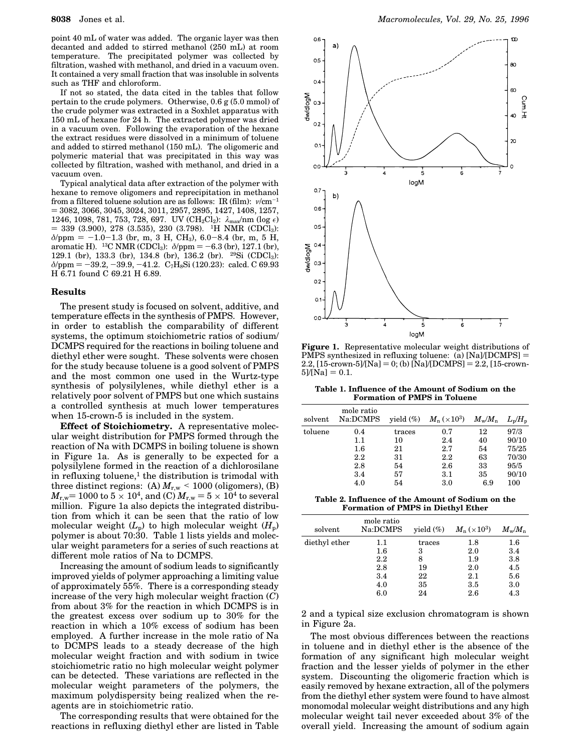point 40 mL of water was added. The organic layer was then decanted and added to stirred methanol (250 mL) at room temperature. The precipitated polymer was collected by filtration, washed with methanol, and dried in a vacuum oven. It contained a very small fraction that was insoluble in solvents such as THF and chloroform.

If not so stated, the data cited in the tables that follow pertain to the crude polymers. Otherwise, 0.6 g (5.0 mmol) of the crude polymer was extracted in a Soxhlet apparatus with 150 mL of hexane for 24 h. The extracted polymer was dried in a vacuum oven. Following the evaporation of the hexane the extract residues were dissolved in a minimum of toluene and added to stirred methanol (150 mL). The oligomeric and polymeric material that was precipitated in this way was collected by filtration, washed with methanol, and dried in a vacuum oven.

Typical analytical data after extraction of the polymer with hexane to remove oligomers and reprecipitation in methanol from a filtered toluene solution are as follows: IR (film):  $v/cm^{-1}$  $= 3082, 3066, 3045, 3024, 3011, 2957, 2895, 1427, 1408, 1257,$ 1246, 1098, 781, 753, 728, 697. UV ( $CH_2Cl_2$ ):  $\lambda_{\text{max}}/ \text{nm}$  (log  $\epsilon$ )  $=$  339 (3.900), 278 (3.535), 230 (3.798). <sup>1</sup>H NMR (CDCl<sub>3</sub>):  $\delta$ /ppm = -1.0-1.3 (br, m, 3 H, CH<sub>3</sub>), 6.0-8.4 (br, m, 5 H, aromatic H). <sup>13</sup>C NMR (CDCl<sub>3</sub>):  $\delta$ /ppm = -6.3 (br), 127.1 (br), 129.1 (br), 133.3 (br), 134.8 (br), 136.2 (br). <sup>29</sup>Si (CDCl3):  $\delta$ /ppm = -39.2, -39.9, -41.2. C<sub>7</sub>H<sub>8</sub>Si (120.23): calcd. C 69.93 H 6.71 found C 69.21 H 6.89.

#### **Results**

The present study is focused on solvent, additive, and temperature effects in the synthesis of PMPS. However, in order to establish the comparability of different systems, the optimum stoichiometric ratios of sodium/ DCMPS required for the reactions in boiling toluene and diethyl ether were sought. These solvents were chosen for the study because toluene is a good solvent of PMPS and the most common one used in the Wurtz-type synthesis of polysilylenes, while diethyl ether is a relatively poor solvent of PMPS but one which sustains a controlled synthesis at much lower temperatures when 15-crown-5 is included in the system.

**Effect of Stoichiometry.** A representative molecular weight distribution for PMPS formed through the reaction of Na with DCMPS in boiling toluene is shown in Figure 1a. As is generally to be expected for a polysilylene formed in the reaction of a dichlorosilane in refluxing toluene, $<sup>1</sup>$  the distribution is trimodal with</sup> three distinct regions: (A)  $M_{r,w}$  < 1000 (oligomers), (B)  $M_{\rm r,w}$ = 1000 to 5  $\times$  10<sup>4</sup>, and (C)  $M_{\rm r,w}$  = 5  $\times$  10<sup>4</sup> to several million. Figure 1a also depicts the integrated distribution from which it can be seen that the ratio of low molecular weight  $(L_p)$  to high molecular weight  $(H_p)$ polymer is about 70:30. Table 1 lists yields and molecular weight parameters for a series of such reactions at different mole ratios of Na to DCMPS.

Increasing the amount of sodium leads to significantly improved yields of polymer approaching a limiting value of approximately 55%. There is a corresponding steady increase of the very high molecular weight fraction (*C*) from about 3% for the reaction in which DCMPS is in the greatest excess over sodium up to 30% for the reaction in which a 10% excess of sodium has been employed. A further increase in the mole ratio of Na to DCMPS leads to a steady decrease of the high molecular weight fraction and with sodium in twice stoichiometric ratio no high molecular weight polymer can be detected. These variations are reflected in the molecular weight parameters of the polymers, the maximum polydispersity being realized when the reagents are in stoichiometric ratio.

The corresponding results that were obtained for the reactions in refluxing diethyl ether are listed in Table



**Figure 1.** Representative molecular weight distributions of PMPS synthesized in refluxing toluene:  $\overline{a}$  [Na]/[DCMPS] =  $2.2$ ,  $[15$ -crown-5]/[Na] = 0; (b)  $[Na]/[DCMPS] = 2.2$ ,  $[15$ -crown- $5$ ]/[Na] = 0.1.

**Table 1. Influence of the Amount of Sodium on the Formation of PMPS in Toluene**

| solvent | mole ratio<br>Na:DCMPS |        | yield $(\%)$ $M_n (\times 10^3)$ | $M_{\rm w}/M_{\rm n}$ | $L_{p}/H_{p}$ |
|---------|------------------------|--------|----------------------------------|-----------------------|---------------|
| toluene | 0.4                    | traces | 0.7                              | 12                    | 97/3          |
|         | 1.1                    | 10     | 2.4                              | 40                    | 90/10         |
|         | $1.6\,$                | 21     | 2.7                              | 54                    | 75/25         |
|         | $2.2\,$                | 31     | 2.2                              | 63                    | 70/30         |
|         | 2.8                    | 54     | 2.6                              | 33                    | 95/5          |
|         | 3.4                    | 57     | $3.1\,$                          | 35                    | 90/10         |
|         | 4.0                    | 54     | 3.0                              | 6.9                   | 100           |

**Table 2. Influence of the Amount of Sodium on the Formation of PMPS in Diethyl Ether**

| solvent       | mole ratio<br>Na:DCMPS | vield $(\%)$ | $M_{\rm n}$ ( $\times 10^3)$ | $M_{\mathrm{w}}/M_{\mathrm{n}}$ |
|---------------|------------------------|--------------|------------------------------|---------------------------------|
| diethyl ether | 1.1                    | traces       | 1.8                          | $1.6\,$                         |
|               | $1.6\,$                | 3            | 2.0                          | 3.4                             |
|               | 2.2                    | 8            | 1.9                          | 3.8                             |
|               | 2.8                    | 19           | 2.0                          | 4.5                             |
|               | 3.4                    | 22           | 2.1                          | 5.6                             |
|               | 4.0                    | 35           | $3.5\,$                      | 3.0                             |
|               | 6.0                    | 24           | $2.6\,$                      | 4.3                             |

2 and a typical size exclusion chromatogram is shown in Figure 2a.

The most obvious differences between the reactions in toluene and in diethyl ether is the absence of the formation of any significant high molecular weight fraction and the lesser yields of polymer in the ether system. Discounting the oligomeric fraction which is easily removed by hexane extraction, all of the polymers from the diethyl ether system were found to have almost monomodal molecular weight distributions and any high molecular weight tail never exceeded about 3% of the overall yield. Increasing the amount of sodium again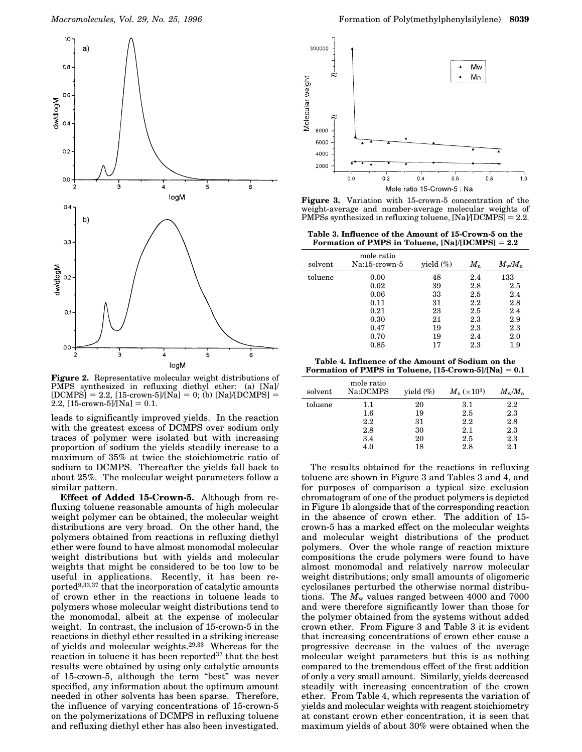

**Figure 2.** Representative molecular weight distributions of PMPS synthesized in refluxing diethyl ether: (a) [Na]/  $[DCMPS] = 2.2$ ,  $[15$ -crown-5]/[Na] = 0; (b) [Na]/[DCMPS] = 2.2,  $[15$ -crown-5]/[Na] = 0.1.

leads to significantly improved yields. In the reaction with the greatest excess of DCMPS over sodium only traces of polymer were isolated but with increasing proportion of sodium the yields steadily increase to a maximum of 35% at twice the stoichiometric ratio of sodium to DCMPS. Thereafter the yields fall back to about 25%. The molecular weight parameters follow a similar pattern.

**Effect of Added 15-Crown-5.** Although from refluxing toluene reasonable amounts of high molecular weight polymer can be obtained, the molecular weight distributions are very broad. On the other hand, the polymers obtained from reactions in refluxing diethyl ether were found to have almost monomodal molecular weight distributions but with yields and molecular weights that might be considered to be too low to be useful in applications. Recently, it has been reported9,33,37 that the incorporation of catalytic amounts of crown ether in the reactions in toluene leads to polymers whose molecular weight distributions tend to the monomodal, albeit at the expense of molecular weight. In contrast, the inclusion of 15-crown-5 in the reactions in diethyl ether resulted in a striking increase of yields and molecular weights.29,33 Whereas for the reaction in toluene it has been reported<sup>37</sup> that the best results were obtained by using only catalytic amounts of 15-crown-5, although the term "best" was never specified, any information about the optimum amount needed in other solvents has been sparse. Therefore, the influence of varying concentrations of 15-crown-5 on the polymerizations of DCMPS in refluxing toluene and refluxing diethyl ether has also been investigated.



**Figure 3.** Variation with 15-crown-5 concentration of the weight-average and number-average molecular weights of PMPSs synthesized in refluxing toluene,  $[Na]/[DCMPS] = 2.2$ .

**Table 3. Influence of the Amount of 15-Crown-5 on the** Formation of PMPS in Toluene,  $[Na]/[DCMPS] = 2.2$ 

| solvent | mole ratio<br>Na:15-crown-5 | yield $(\%)$ | $M_{\rm n}$ | $M_{\rm w}/M_{\rm n}$ |
|---------|-----------------------------|--------------|-------------|-----------------------|
| toluene | 0.00                        | 48           | 2.4         | 133                   |
|         | 0.02                        | 39           | 2.8         | 2.5                   |
|         | 0.06                        | 33           | 2.5         | 2.4                   |
|         | 0.11                        | 31           | $2.2\,$     | 2.8                   |
|         | 0.21                        | 23           | 2.5         | 2.4                   |
|         | 0.30                        | 21           | $2.3\,$     | 2.9                   |
|         | 0.47                        | 19           | $2.3\,$     | $2.3\,$               |
|         | 0.70                        | 19           | 2.4         | 2.0                   |
|         | 0.85                        | 17           | $2.3\,$     | 1.9                   |

**Table 4. Influence of the Amount of Sodium on the Formation of PMPS in Toluene,**  $[15$ **-Crown-5]/[Na]**  $= 0.1$ 

| solvent | mole ratio<br>Na:DCMPS | yield $(\%)$ | $M_{\rm n}$ ( $\times 10^3$ ) | $M_{\rm w}/M_{\rm n}$ |
|---------|------------------------|--------------|-------------------------------|-----------------------|
| toluene | $1.1\,$                | 20           | 3.1                           | $2.2\,$               |
|         | $1.6\,$                | 19           | 2.5                           | 2.3                   |
|         | 2.2                    | 31           | $2.2\,$                       | 2.8                   |
|         | 2.8                    | 30           | 2.1                           | $2.3\,$               |
|         | 3.4                    | 20           | 2.5                           | $2.3\,$               |
|         | 4.0                    | 18           | 2.8                           | 2.1                   |

The results obtained for the reactions in refluxing toluene are shown in Figure 3 and Tables 3 and 4, and for purposes of comparison a typical size exclusion chromatogram of one of the product polymers is depicted in Figure 1b alongside that of the corresponding reaction in the absence of crown ether. The addition of 15 crown-5 has a marked effect on the molecular weights and molecular weight distributions of the product polymers. Over the whole range of reaction mixture compositions the crude polymers were found to have almost monomodal and relatively narrow molecular weight distributions; only small amounts of oligomeric cyclosilanes perturbed the otherwise normal distributions. The  $M_{\rm w}$  values ranged between 4000 and 7000 and were therefore significantly lower than those for the polymer obtained from the systems without added crown ether. From Figure 3 and Table 3 it is evident that increasing concentrations of crown ether cause a progressive decrease in the values of the average molecular weight parameters but this is as nothing compared to the tremendous effect of the first addition of only a very small amount. Similarly, yields decreased steadily with increasing concentration of the crown ether. From Table 4, which represents the variation of yields and molecular weights with reagent stoichiometry at constant crown ether concentration, it is seen that maximum yields of about 30% were obtained when the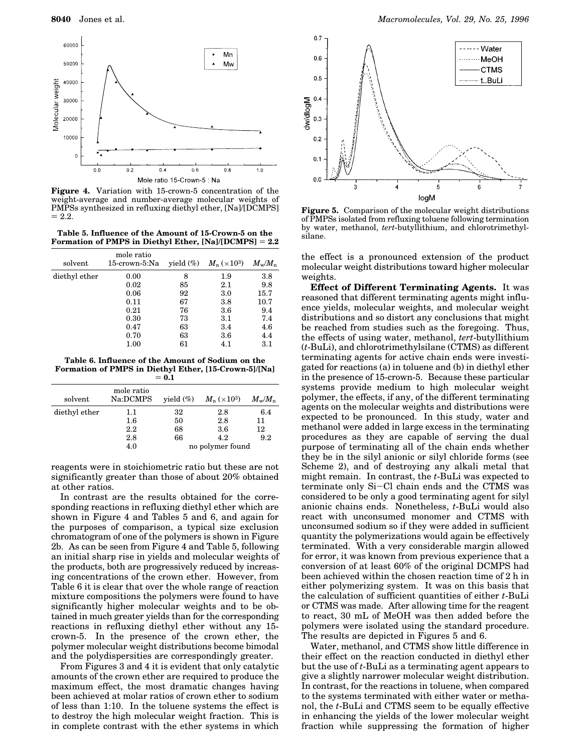

**Figure 4.** Variation with 15-crown-5 concentration of the weight-average and number-average molecular weights of PMPSs synthesized in refluxing diethyl ether, [Na]/[DCMPS]  $= 2.2.$ 

**Table 5. Influence of the Amount of 15-Crown-5 on the** Formation of PMPS in Diethyl Ether, [Na]/[DCMPS] = 2.2

| solvent       | mole ratio<br>15-crown-5:Na | yield $(\%)$ | $M_{\rm n} \, (\times 10^3)$ | $M_{\rm w}/M_{\rm n}$ |
|---------------|-----------------------------|--------------|------------------------------|-----------------------|
| diethyl ether | 0.00                        | 8            | 1.9                          | $3.8\,$               |
|               | 0.02                        | 85           | 2.1                          | 9.8                   |
|               | 0.06                        | 92           | 3.0                          | 15.7                  |
|               | 0.11                        | 67           | 3.8                          | 10.7                  |
|               | 0.21                        | 76           | 3.6                          | 9.4                   |
|               | 0.30                        | 73           | $3.1\,$                      | 7.4                   |
|               | 0.47                        | 63           | 3.4                          | 4.6                   |
|               | 0.70                        | 63           | 3.6                          | 4.4                   |
|               | 1.00                        | 61           | 4.1                          | $3.1\,$               |
|               |                             |              |                              |                       |

**Table 6. Influence of the Amount of Sodium on the Formation of PMPS in Diethyl Ether, [15-Crown-5]/[Na]**  $= 0.1$ 

| solvent       | mole ratio<br>Na:DCMPS | yield $(\%)$ | $M_{\rm n} \, (\times 10^3)$ | $M_{\mathrm{w}}/M_{\mathrm{n}}$ |
|---------------|------------------------|--------------|------------------------------|---------------------------------|
| diethyl ether | $1.1\,$                | 32           | 2.8                          | 6.4                             |
|               | $1.6\,$                | 50           | 2.8                          | 11                              |
|               | 2.2                    | 68           | 3.6                          | 12                              |
|               | 2.8                    | 66           | 4.2                          | 9.2                             |
|               | 4.0                    |              | no polymer found             |                                 |

reagents were in stoichiometric ratio but these are not significantly greater than those of about 20% obtained at other ratios.

In contrast are the results obtained for the corresponding reactions in refluxing diethyl ether which are shown in Figure 4 and Tables 5 and 6, and again for the purposes of comparison, a typical size exclusion chromatogram of one of the polymers is shown in Figure 2b. As can be seen from Figure 4 and Table 5, following an initial sharp rise in yields and molecular weights of the products, both are progressively reduced by increasing concentrations of the crown ether. However, from Table 6 it is clear that over the whole range of reaction mixture compositions the polymers were found to have significantly higher molecular weights and to be obtained in much greater yields than for the corresponding reactions in refluxing diethyl ether without any 15 crown-5. In the presence of the crown ether, the polymer molecular weight distributions become bimodal and the polydispersities are correspondingly greater.

From Figures 3 and 4 it is evident that only catalytic amounts of the crown ether are required to produce the maximum effect, the most dramatic changes having been achieved at molar ratios of crown ether to sodium of less than 1:10. In the toluene systems the effect is to destroy the high molecular weight fraction. This is in complete contrast with the ether systems in which



**Figure 5.** Comparison of the molecular weight distributions of PMPSs isolated from refluxing toluene following termination by water, methanol, *tert*-butyllithium, and chlorotrimethylsilane.

the effect is a pronounced extension of the product molecular weight distributions toward higher molecular weights.

**Effect of Different Terminating Agents.** It was reasoned that different terminating agents might influence yields, molecular weights, and molecular weight distributions and so distort any conclusions that might be reached from studies such as the foregoing. Thus, the effects of using water, methanol, *tert*-butyllithium (*t*-BuLi), and chlorotrimethylsilane (CTMS) as different terminating agents for active chain ends were investigated for reactions (a) in toluene and (b) in diethyl ether in the presence of 15-crown-5. Because these particular systems provide medium to high molecular weight polymer, the effects, if any, of the different terminating agents on the molecular weights and distributions were expected to be pronounced. In this study, water and methanol were added in large excess in the terminating procedures as they are capable of serving the dual purpose of terminating all of the chain ends whether they be in the silyl anionic or silyl chloride forms (see Scheme 2), and of destroying any alkali metal that might remain. In contrast, the *t*-BuLi was expected to terminate only Si-Cl chain ends and the CTMS was considered to be only a good terminating agent for silyl anionic chains ends. Nonetheless, *t*-BuLi would also react with unconsumed monomer and CTMS with unconsumed sodium so if they were added in sufficient quantity the polymerizations would again be effectively terminated. With a very considerable margin allowed for error, it was known from previous experience that a conversion of at least 60% of the original DCMPS had been achieved within the chosen reaction time of 2 h in either polymerizing system. It was on this basis that the calculation of sufficient quantities of either *t*-BuLi or CTMS was made. After allowing time for the reagent to react, 30 mL of MeOH was then added before the polymers were isolated using the standard procedure. The results are depicted in Figures 5 and 6.

Water, methanol, and CTMS show little difference in their effect on the reaction conducted in diethyl ether but the use of *t*-BuLi as a terminating agent appears to give a slightly narrower molecular weight distribution. In contrast, for the reactions in toluene, when compared to the systems terminated with either water or methanol, the *t*-BuLi and CTMS seem to be equally effective in enhancing the yields of the lower molecular weight fraction while suppressing the formation of higher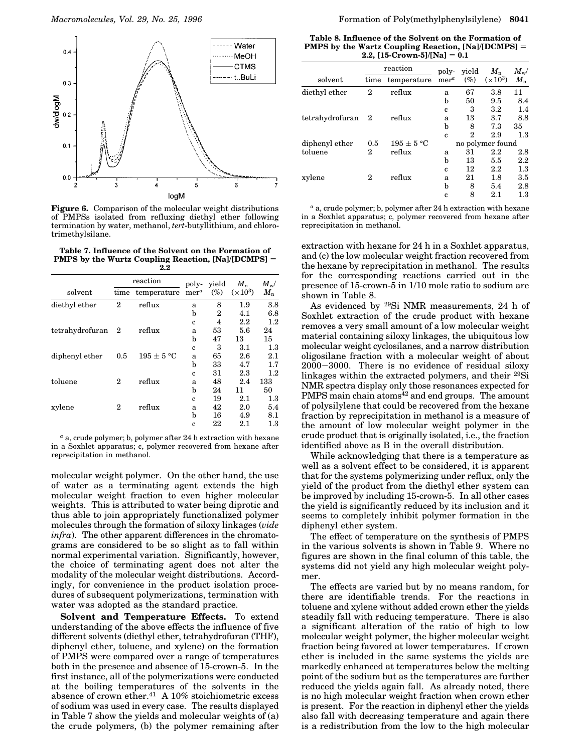

**Figure 6.** Comparison of the molecular weight distributions of PMPSs isolated from refluxing diethyl ether following termination by water, methanol, *tert*-butyllithium, and chlorotrimethylsilane.

**Table 7. Influence of the Solvent on the Formation of PMPS** by the Wurtz Coupling Reaction, [Na]/[DCMPS] = **2.2**

|                   |                  | reaction       | poly-            | yield<br>$M_{n}$ |                   | $M_{\mathrm{w}}$ / |
|-------------------|------------------|----------------|------------------|------------------|-------------------|--------------------|
| solvent           | time             | temperature    | mer <sup>a</sup> | $(\%)$           | $(\times 10^{3})$ | $M_\mathrm{n}$     |
| diethyl ether     | $\overline{2}$   | reflux         | a                | 8                | 1.9               | 3.8                |
|                   |                  |                | b                | 2                | 4.1               | 6.8                |
|                   |                  |                | $\mathbf c$      | 4                | $2.2\,$           | $1.2\,$            |
| tetrahydrofuran 2 |                  | reflux         | a                | 53               | 5.6               | 24                 |
|                   |                  |                | b                | 47               | 13                | 15                 |
|                   |                  |                | $\mathbf c$      | 3                | 3.1               | 1.3                |
| diphenyl ether    | 0.5              | $195 \pm 5 °C$ | a                | 65               | 2.6               | 2.1                |
|                   |                  |                | b                | 33               | 4.7               | 1.7                |
|                   |                  |                | c                | 31               | 2.3               | $1.2\,$            |
| toluene           | $\boldsymbol{2}$ | reflux         | a                | 48               | 2.4               | 133                |
|                   |                  |                | b                | 24               | 11                | 50                 |
|                   |                  |                | c                | 19               | 2.1               | $1.3\,$            |
| xylene            | $\boldsymbol{2}$ | reflux         | a                | 42               | 2.0               | 5.4                |
|                   |                  |                | b                | 16               | 4.9               | 8.1                |
|                   |                  |                | c                | 22               | 2.1               | $1.3\,$            |

*<sup>a</sup>* a, crude polymer; b, polymer after 24 h extraction with hexane in a Soxhlet apparatus; c, polymer recovered from hexane after reprecipitation in methanol.

molecular weight polymer. On the other hand, the use of water as a terminating agent extends the high molecular weight fraction to even higher molecular weights. This is attributed to water being diprotic and thus able to join appropriately functionalized polymer molecules through the formation of siloxy linkages (*vide infra*). The other apparent differences in the chromatograms are considered to be so slight as to fall within normal experimental variation. Significantly, however, the choice of terminating agent does not alter the modality of the molecular weight distributions. Accordingly, for convenience in the product isolation procedures of subsequent polymerizations, termination with water was adopted as the standard practice.

**Solvent and Temperature Effects.** To extend understanding of the above effects the influence of five different solvents (diethyl ether, tetrahydrofuran (THF), diphenyl ether, toluene, and xylene) on the formation of PMPS were compared over a range of temperatures both in the presence and absence of 15-crown-5. In the first instance, all of the polymerizations were conducted at the boiling temperatures of the solvents in the absence of crown ether.<sup>41</sup> A 10% stoichiometric excess of sodium was used in every case. The results displayed in Table 7 show the yields and molecular weights of (a) the crude polymers, (b) the polymer remaining after

**Table 8. Influence of the Solvent on the Formation of PMPS** by the Wartz Coupling Reaction, [Na]/[DCMPS] = **2.2,**  $[15$ -Crown-5]/[Na] = 0.1

|                 |                  | reaction       | poly-            | vield  | $M_{n}$          | $M_{\mathrm{w}}$ / |
|-----------------|------------------|----------------|------------------|--------|------------------|--------------------|
| solvent         | time             | temperature    | mer <sup>a</sup> | $(\%)$ | $(\times 10^3)$  | $M_{n}$            |
| diethyl ether   | $\boldsymbol{2}$ | reflux         | a                | 67     | 3.8              | 11                 |
|                 |                  |                | b                | 50     | 9.5              | 8.4                |
|                 |                  |                | $\mathbf c$      | 3      | $3.2\,$          | 1.4                |
| tetrahydrofuran | 2                | reflux         | a                | 13     | 3.7              | 8.8                |
|                 |                  |                | b                | 8      | 7.3              | 35                 |
|                 |                  |                | c                | 2      | 2.9              | 1.3                |
| diphenyl ether  | 0.5              | $195 \pm 5 °C$ |                  |        | no polymer found |                    |
| toluene         | $\boldsymbol{2}$ | reflux         | a                | 31     | $2.2\,$          | $2.8\,$            |
|                 |                  |                | b                | 13     | 5.5              | $2.2\,$            |
|                 |                  |                | c                | 12     | 2.2              | 1.3                |
| xylene          | $\boldsymbol{2}$ | reflux         | a                | 21     | 1.8              | 3.5                |
|                 |                  |                | b                | 8      | 5.4              | 2.8                |
|                 |                  |                | c                | 8      | 2.1              | $^{1.3}$           |

*<sup>a</sup>* a, crude polymer; b, polymer after 24 h extraction with hexane in a Soxhlet apparatus; c, polymer recovered from hexane after reprecipitation in methanol.

extraction with hexane for 24 h in a Soxhlet apparatus, and (c) the low molecular weight fraction recovered from the hexane by reprecipitation in methanol. The results for the corresponding reactions carried out in the presence of 15-crown-5 in 1/10 mole ratio to sodium are shown in Table 8.

As evidenced by <sup>29</sup>Si NMR measurements, 24 h of Soxhlet extraction of the crude product with hexane removes a very small amount of a low molecular weight material containing siloxy linkages, the ubiquitous low molecular weight cyclosilanes, and a narrow distribution oligosilane fraction with a molecular weight of about 2000-3000. There is no evidence of residual siloxy linkages within the extracted polymers, and their <sup>29</sup>Si NMR spectra display only those resonances expected for  $PMPS$  main chain atoms<sup>42</sup> and end groups. The amount of polysilylene that could be recovered from the hexane fraction by reprecipitation in methanol is a measure of the amount of low molecular weight polymer in the crude product that is originally isolated, i.e., the fraction identified above as B in the overall distribution.

While acknowledging that there is a temperature as well as a solvent effect to be considered, it is apparent that for the systems polymerizing under reflux, only the yield of the product from the diethyl ether system can be improved by including 15-crown-5. In all other cases the yield is significantly reduced by its inclusion and it seems to completely inhibit polymer formation in the diphenyl ether system.

The effect of temperature on the synthesis of PMPS in the various solvents is shown in Table 9. Where no figures are shown in the final column of this table, the systems did not yield any high molecular weight polymer.

The effects are varied but by no means random, for there are identifiable trends. For the reactions in toluene and xylene without added crown ether the yields steadily fall with reducing temperature. There is also a significant alteration of the ratio of high to low molecular weight polymer, the higher molecular weight fraction being favored at lower temperatures. If crown ether is included in the same systems the yields are markedly enhanced at temperatures below the melting point of the sodium but as the temperatures are further reduced the yields again fall. As already noted, there is no high molecular weight fraction when crown ether is present. For the reaction in diphenyl ether the yields also fall with decreasing temperature and again there is a redistribution from the low to the high molecular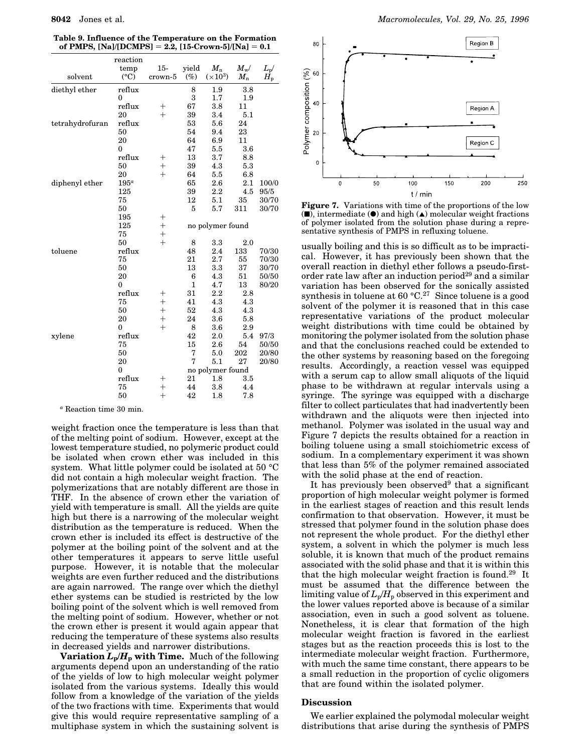| Table 9. Influence of the Temperature on the Formation     |  |
|------------------------------------------------------------|--|
| of PMPS, $[Na]/[DCMPS] = 2.2$ , $[15$ -Crown-5]/[Na] = 0.1 |  |

|                 | reaction        |         |              |                  |              |               |
|-----------------|-----------------|---------|--------------|------------------|--------------|---------------|
|                 | temp            | $15 -$  | yield        | $M_{n}$          | $M_{\rm w}/$ | $L_{\rm p}$ / |
| solvent         | $({}^{\circ}C)$ | crown-5 | $(\%)$       | $(\times 10^3)$  | $M_{n}$      | $H_{p}$       |
| diethyl ether   | reflux          |         | 8            | 1.9              | 3.8          |               |
|                 | $\theta$        |         | 3            | 1.7              | 1.9          |               |
|                 | reflux          | $^+$    | 67           | 3.8              | 11           |               |
|                 | 20              | $+$     | 39           | 3.4              | 5.1          |               |
| tetrahydrofuran | reflux          |         | 53           | 5.6              | 24           |               |
|                 | 50              |         | 54           | 9.4              | 23           |               |
|                 | 20              |         | 64           | 6.9              | 11           |               |
|                 | $\mathbf{0}$    |         | 47           | 5.5              | 3.6          |               |
|                 | reflux          | $^+$    | 13           | 3.7              | 8.8          |               |
|                 | 50              | $+$     | 39           | 4.3              | 5.3          |               |
|                 | 20              | $+$     | 64           | 5.5              | 6.8          |               |
| diphenyl ether  | $195^a$         |         | 65           | 2.6              | 2.1          | 100/0         |
|                 | 125             |         | 39           | $2.2\,$          | 4.5          | 95/5          |
|                 | 75              |         | 12           | 5.1              | 35           | 30/70         |
|                 | 50              |         | 5            | 5.7              | 311          | 30/70         |
|                 | 195             | $^+$    |              |                  |              |               |
|                 | 125             | $^{+}$  |              | no polymer found |              |               |
|                 | 75              | $+$     |              |                  |              |               |
|                 | 50              | $+$     | 8            | 3.3              | 2.0          |               |
| toluene         | reflux          |         | 48           | 2.4              | 133          | 70/30         |
|                 | 75              |         | 21           | 2.7              | 55           | 70/30         |
|                 | 50              |         | 13           | 3.3              | 37           | 30/70         |
|                 | 20              |         | 6            | 4.3              | 51           | 50/50         |
|                 | $\mathbf{0}$    |         | $\mathbf{1}$ | 4.7              | 13           | 80/20         |
|                 | reflux          | $^+$    | 31           | 2.2              | 2.8          |               |
|                 | 75              | $^{+}$  | 41           | 4.3              | 4.3          |               |
|                 | 50              | $+$     | 52           | 4.3              | 4.3          |               |
|                 | 20              | $^{+}$  | 24           | 3.6              | 5.8          |               |
|                 | $\theta$        | $+$     | 8            | 3.6              | 2.9          |               |
| xylene          | reflux          |         | 42           | 2.0              | 5.4          | 97/3          |
|                 | 75              |         | 15           | 2.6              | 54           | 50/50         |
|                 | 50              |         | 7            | 5.0              | 202          | 20/80         |
|                 | 20              |         | 7            | 5.1              | 27           | 20/80         |
|                 | $\mathbf{0}$    |         |              | no polymer found |              |               |
|                 | reflux          | $^+$    | 21           | 1.8              | 3.5          |               |
|                 | 75              | $^{+}$  | 44           | 3.8              | 4.4          |               |
|                 | 50              | $^{+}$  | 42           | 1.8              | 7.8          |               |

*<sup>a</sup>* Reaction time 30 min.

weight fraction once the temperature is less than that of the melting point of sodium. However, except at the lowest temperature studied, no polymeric product could be isolated when crown ether was included in this system. What little polymer could be isolated at 50 °C did not contain a high molecular weight fraction. The polymerizations that are notably different are those in THF. In the absence of crown ether the variation of yield with temperature is small. All the yields are quite high but there is a narrowing of the molecular weight distribution as the temperature is reduced. When the crown ether is included its effect is destructive of the polymer at the boiling point of the solvent and at the other temperatures it appears to serve little useful purpose. However, it is notable that the molecular weights are even further reduced and the distributions are again narrowed. The range over which the diethyl ether systems can be studied is restricted by the low boiling point of the solvent which is well removed from the melting point of sodium. However, whether or not the crown ether is present it would again appear that reducing the temperature of these systems also results in decreased yields and narrower distributions.

**Variation**  $L_p/H_p$  with Time. Much of the following arguments depend upon an understanding of the ratio of the yields of low to high molecular weight polymer isolated from the various systems. Ideally this would follow from a knowledge of the variation of the yields of the two fractions with time. Experiments that would give this would require representative sampling of a multiphase system in which the sustaining solvent is



**Figure 7.** Variations with time of the proportions of the low  $(\blacksquare)$ , intermediate  $(\lozenge)$  and high  $(\blacktriangle)$  molecular weight fractions of polymer isolated from the solution phase during a representative synthesis of PMPS in refluxing toluene.

usually boiling and this is so difficult as to be impractical. However, it has previously been shown that the overall reaction in diethyl ether follows a pseudo-firstorder rate law after an induction period<sup>29</sup> and a similar variation has been observed for the sonically assisted synthesis in toluene at 60  $°C.^{27}$  Since toluene is a good solvent of the polymer it is reasoned that in this case representative variations of the product molecular weight distributions with time could be obtained by monitoring the polymer isolated from the solution phase and that the conclusions reached could be extended to the other systems by reasoning based on the foregoing results. Accordingly, a reaction vessel was equipped with a serum cap to allow small aliquots of the liquid phase to be withdrawn at regular intervals using a syringe. The syringe was equipped with a discharge filter to collect particulates that had inadvertently been withdrawn and the aliquots were then injected into methanol. Polymer was isolated in the usual way and Figure 7 depicts the results obtained for a reaction in boiling toluene using a small stoichiometric excess of sodium. In a complementary experiment it was shown that less than 5% of the polymer remained associated with the solid phase at the end of reaction.

It has previously been observed<sup>9</sup> that a significant proportion of high molecular weight polymer is formed in the earliest stages of reaction and this result lends confirmation to that observation. However, it must be stressed that polymer found in the solution phase does not represent the whole product. For the diethyl ether system, a solvent in which the polymer is much less soluble, it is known that much of the product remains associated with the solid phase and that it is within this that the high molecular weight fraction is found.<sup>29</sup> It must be assumed that the difference between the limiting value of  $L_p/H_p$  observed in this experiment and the lower values reported above is because of a similar association, even in such a good solvent as toluene. Nonetheless, it is clear that formation of the high molecular weight fraction is favored in the earliest stages but as the reaction proceeds this is lost to the intermediate molecular weight fraction. Furthermore, with much the same time constant, there appears to be a small reduction in the proportion of cyclic oligomers that are found within the isolated polymer.

#### **Discussion**

We earlier explained the polymodal molecular weight distributions that arise during the synthesis of PMPS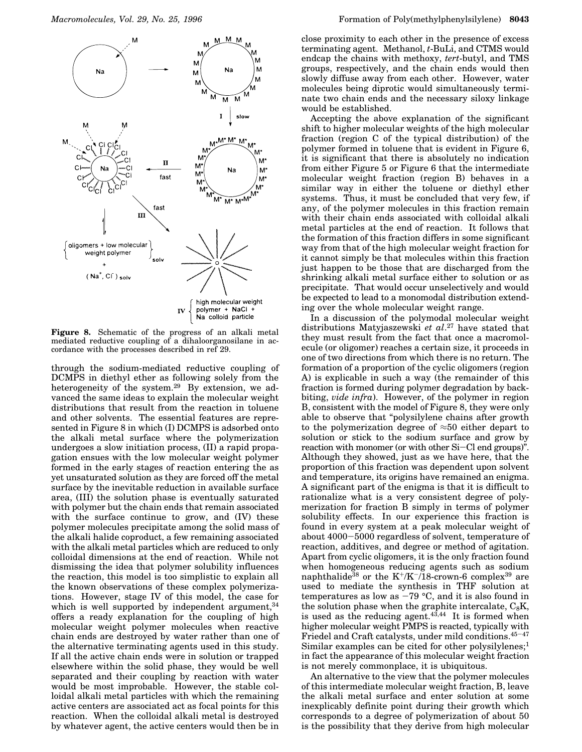

**Figure 8.** Schematic of the progress of an alkali metal mediated reductive coupling of a dihaloorganosilane in accordance with the processes described in ref 29.

through the sodium-mediated reductive coupling of DCMPS in diethyl ether as following solely from the heterogeneity of the system.<sup>29</sup> By extension, we advanced the same ideas to explain the molecular weight distributions that result from the reaction in toluene and other solvents. The essential features are represented in Figure 8 in which (I) DCMPS is adsorbed onto the alkali metal surface where the polymerization undergoes a slow initiation process, (II) a rapid propagation ensues with the low molecular weight polymer formed in the early stages of reaction entering the as yet unsaturated solution as they are forced off the metal surface by the inevitable reduction in available surface area, (III) the solution phase is eventually saturated with polymer but the chain ends that remain associated with the surface continue to grow, and (IV) these polymer molecules precipitate among the solid mass of the alkali halide coproduct, a few remaining associated with the alkali metal particles which are reduced to only colloidal dimensions at the end of reaction. While not dismissing the idea that polymer solubility influences the reaction, this model is too simplistic to explain all the known observations of these complex polymerizations. However, stage IV of this model, the case for which is well supported by independent argument,  $34$ offers a ready explanation for the coupling of high molecular weight polymer molecules when reactive chain ends are destroyed by water rather than one of the alternative terminating agents used in this study. If all the active chain ends were in solution or trapped elsewhere within the solid phase, they would be well separated and their coupling by reaction with water would be most improbable. However, the stable colloidal alkali metal particles with which the remaining active centers are associated act as focal points for this reaction. When the colloidal alkali metal is destroyed by whatever agent, the active centers would then be in

close proximity to each other in the presence of excess terminating agent. Methanol, *t*-BuLi, and CTMS would endcap the chains with methoxy, *tert*-butyl, and TMS groups, respectively, and the chain ends would then slowly diffuse away from each other. However, water molecules being diprotic would simultaneously terminate two chain ends and the necessary siloxy linkage would be established.

Accepting the above explanation of the significant shift to higher molecular weights of the high molecular fraction (region C of the typical distribution) of the polymer formed in toluene that is evident in Figure 6, it is significant that there is absolutely no indication from either Figure 5 or Figure 6 that the intermediate molecular weight fraction (region B) behaves in a similar way in either the toluene or diethyl ether systems. Thus, it must be concluded that very few, if any, of the polymer molecules in this fraction remain with their chain ends associated with colloidal alkali metal particles at the end of reaction. It follows that the formation of this fraction differs in some significant way from that of the high molecular weight fraction for it cannot simply be that molecules within this fraction just happen to be those that are discharged from the shrinking alkali metal surface either to solution or as precipitate. That would occur unselectively and would be expected to lead to a monomodal distribution extending over the whole molecular weight range.

In a discussion of the polymodal molecular weight distributions Matyjaszewski *et al*. <sup>27</sup> have stated that they must result from the fact that once a macromolecule (or oligomer) reaches a certain size, it proceeds in one of two directions from which there is no return. The formation of a proportion of the cyclic oligomers (region A) is explicable in such a way (the remainder of this fraction is formed during polymer degradation by backbiting, *vide infra*). However, of the polymer in region B, consistent with the model of Figure 8, they were only able to observe that "polysilylene chains after growth to the polymerization degree of  $\approx 50$  either depart to solution or stick to the sodium surface and grow by reaction with monomer (or with other Si-Cl end groups)". Although they showed, just as we have here, that the proportion of this fraction was dependent upon solvent and temperature, its origins have remained an enigma. A significant part of the enigma is that it is difficult to rationalize what is a very consistent degree of polymerization for fraction B simply in terms of polymer solubility effects. In our experience this fraction is found in every system at a peak molecular weight of about 4000-5000 regardless of solvent, temperature of reaction, additives, and degree or method of agitation. Apart from cyclic oligomers, it is the only fraction found when homogeneous reducing agents such as sodium naphthalide<sup>38</sup> or the K<sup>+</sup>/K<sup>-</sup>/18-crown-6 complex<sup>39</sup> are used to mediate the synthesis in THF solution at temperatures as low as  $-79$  °C, and it is also found in the solution phase when the graphite intercalate,  $C_8K$ , is used as the reducing agent. $43,44$  It is formed when higher molecular weight PMPS is reacted, typically with Friedel and Craft catalysts, under mild conditions.<sup>45</sup>-<sup>47</sup> Similar examples can be cited for other polysilylenes;<sup>1</sup> in fact the appearance of this molecular weight fraction is not merely commonplace, it is ubiquitous.

An alternative to the view that the polymer molecules of this intermediate molecular weight fraction, B, leave the alkali metal surface and enter solution at some inexplicably definite point during their growth which corresponds to a degree of polymerization of about 50 is the possibility that they derive from high molecular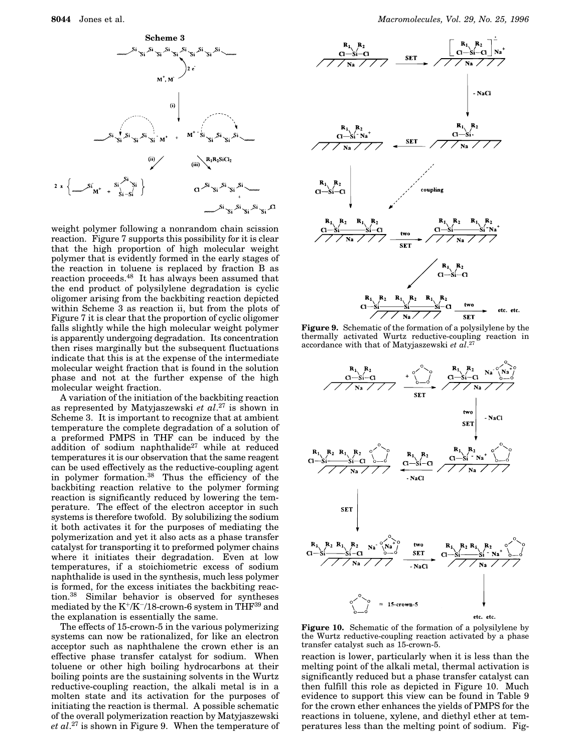

weight polymer following a nonrandom chain scission reaction. Figure 7 supports this possibility for it is clear that the high proportion of high molecular weight polymer that is evidently formed in the early stages of the reaction in toluene is replaced by fraction B as reaction proceeds.<sup>48</sup> It has always been assumed that the end product of polysilylene degradation is cyclic oligomer arising from the backbiting reaction depicted within Scheme 3 as reaction ii, but from the plots of Figure 7 it is clear that the proportion of cyclic oligomer falls slightly while the high molecular weight polymer is apparently undergoing degradation. Its concentration then rises marginally but the subsequent fluctuations indicate that this is at the expense of the intermediate molecular weight fraction that is found in the solution phase and not at the further expense of the high molecular weight fraction.

A variation of the initiation of the backbiting reaction as represented by Matyjaszewski *et al*. <sup>27</sup> is shown in Scheme 3. It is important to recognize that at ambient temperature the complete degradation of a solution of a preformed PMPS in THF can be induced by the addition of sodium naphthalide<sup>27</sup> while at reduced temperatures it is our observation that the same reagent can be used effectively as the reductive-coupling agent in polymer formation.<sup>38</sup> Thus the efficiency of the backbiting reaction relative to the polymer forming reaction is significantly reduced by lowering the temperature. The effect of the electron acceptor in such systems is therefore twofold. By solubilizing the sodium it both activates it for the purposes of mediating the polymerization and yet it also acts as a phase transfer catalyst for transporting it to preformed polymer chains where it initiates their degradation. Even at low temperatures, if a stoichiometric excess of sodium naphthalide is used in the synthesis, much less polymer is formed, for the excess initiates the backbiting reaction.<sup>38</sup> Similar behavior is observed for syntheses mediated by the  $K^+/K^-/18$ -crown-6 system in THF<sup>39</sup> and the explanation is essentially the same.

The effects of 15-crown-5 in the various polymerizing systems can now be rationalized, for like an electron acceptor such as naphthalene the crown ether is an effective phase transfer catalyst for sodium. When toluene or other high boiling hydrocarbons at their boiling points are the sustaining solvents in the Wurtz reductive-coupling reaction, the alkali metal is in a molten state and its activation for the purposes of initiating the reaction is thermal. A possible schematic of the overall polymerization reaction by Matyjaszewski *et al*. <sup>27</sup> is shown in Figure 9. When the temperature of



**Figure 9.** Schematic of the formation of a polysilylene by the thermally activated Wurtz reductive-coupling reaction in accordance with that of Matyjaszewski *et al*. 27



**Figure 10.** Schematic of the formation of a polysilylene by the Wurtz reductive-coupling reaction activated by a phase transfer catalyst such as 15-crown-5.

reaction is lower, particularly when it is less than the melting point of the alkali metal, thermal activation is significantly reduced but a phase transfer catalyst can then fulfill this role as depicted in Figure 10. Much evidence to support this view can be found in Table 9 for the crown ether enhances the yields of PMPS for the reactions in toluene, xylene, and diethyl ether at temperatures less than the melting point of sodium. Fig-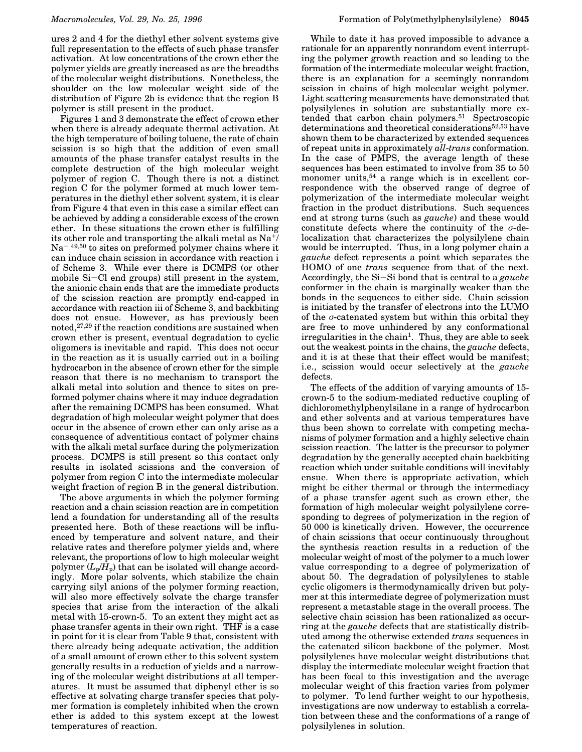ures 2 and 4 for the diethyl ether solvent systems give full representation to the effects of such phase transfer activation. At low concentrations of the crown ether the polymer yields are greatly increased as are the breadths of the molecular weight distributions. Nonetheless, the shoulder on the low molecular weight side of the distribution of Figure 2b is evidence that the region B polymer is still present in the product.

Figures 1 and 3 demonstrate the effect of crown ether when there is already adequate thermal activation. At the high temperature of boiling toluene, the rate of chain scission is so high that the addition of even small amounts of the phase transfer catalyst results in the complete destruction of the high molecular weight polymer of region C. Though there is not a distinct region C for the polymer formed at much lower temperatures in the diethyl ether solvent system, it is clear from Figure 4 that even in this case a similar effect can be achieved by adding a considerable excess of the crown ether. In these situations the crown ether is fulfilling its other role and transporting the alkali metal as Na<sup>+</sup>/  $Na^{-49,50}$  to sites on preformed polymer chains where it can induce chain scission in accordance with reaction i of Scheme 3. While ever there is DCMPS (or other mobile Si-Cl end groups) still present in the system, the anionic chain ends that are the immediate products of the scission reaction are promptly end-capped in accordance with reaction iii of Scheme 3, and backbiting does not ensue. However, as has previously been noted, $27,29$  if the reaction conditions are sustained when crown ether is present, eventual degradation to cyclic oligomers is inevitable and rapid. This does not occur in the reaction as it is usually carried out in a boiling hydrocarbon in the absence of crown ether for the simple reason that there is no mechanism to transport the alkali metal into solution and thence to sites on preformed polymer chains where it may induce degradation after the remaining DCMPS has been consumed. What degradation of high molecular weight polymer that does occur in the absence of crown ether can only arise as a consequence of adventitious contact of polymer chains with the alkali metal surface during the polymerization process. DCMPS is still present so this contact only results in isolated scissions and the conversion of polymer from region C into the intermediate molecular weight fraction of region B in the general distribution.

The above arguments in which the polymer forming reaction and a chain scission reaction are in competition lend a foundation for understanding all of the results presented here. Both of these reactions will be influenced by temperature and solvent nature, and their relative rates and therefore polymer yields and, where relevant, the proportions of low to high molecular weight polymer  $(L_p/H_p)$  that can be isolated will change accordingly. More polar solvents, which stabilize the chain carrying silyl anions of the polymer forming reaction, will also more effectively solvate the charge transfer species that arise from the interaction of the alkali metal with 15-crown-5. To an extent they might act as phase transfer agents in their own right. THF is a case in point for it is clear from Table 9 that, consistent with there already being adequate activation, the addition of a small amount of crown ether to this solvent system generally results in a reduction of yields and a narrowing of the molecular weight distributions at all temperatures. It must be assumed that diphenyl ether is so effective at solvating charge transfer species that polymer formation is completely inhibited when the crown ether is added to this system except at the lowest temperatures of reaction.

While to date it has proved impossible to advance a rationale for an apparently nonrandom event interrupting the polymer growth reaction and so leading to the formation of the intermediate molecular weight fraction, there is an explanation for a seemingly nonrandom scission in chains of high molecular weight polymer. Light scattering measurements have demonstrated that polysilylenes in solution are substantially more extended that carbon chain polymers.<sup>51</sup> Spectroscopic determinations and theoretical considerations<sup>52,53</sup> have shown them to be characterized by extended sequences of repeat units in approximately *all*-*trans* conformation. In the case of PMPS, the average length of these sequences has been estimated to involve from 35 to 50 monomer units,  $54$  a range which is in excellent correspondence with the observed range of degree of polymerization of the intermediate molecular weight fraction in the product distributions. Such sequences end at strong turns (such as *gauche*) and these would constitute defects where the continuity of the  $\sigma$ -delocalization that characterizes the polysilylene chain would be interrupted. Thus, in a long polymer chain a *gauche* defect represents a point which separates the HOMO of one *trans* sequence from that of the next. Accordingly, the Si-Si bond that is central to a *gauche* conformer in the chain is marginally weaker than the bonds in the sequences to either side. Chain scission is initiated by the transfer of electrons into the LUMO of the  $\sigma$ -catenated system but within this orbital they are free to move unhindered by any conformational irregularities in the chain<sup>1</sup>. Thus, they are able to seek out the weakest points in the chains, the *gauche* defects, and it is at these that their effect would be manifest; i.e., scission would occur selectively at the *gauche* defects.

The effects of the addition of varying amounts of 15 crown-5 to the sodium-mediated reductive coupling of dichloromethylphenylsilane in a range of hydrocarbon and ether solvents and at various temperatures have thus been shown to correlate with competing mechanisms of polymer formation and a highly selective chain scission reaction. The latter is the precursor to polymer degradation by the generally accepted chain backbiting reaction which under suitable conditions will inevitably ensue. When there is appropriate activation, which might be either thermal or through the intermediacy of a phase transfer agent such as crown ether, the formation of high molecular weight polysilylene corresponding to degrees of polymerization in the region of 50 000 is kinetically driven. However, the occurrence of chain scissions that occur continuously throughout the synthesis reaction results in a reduction of the molecular weight of most of the polymer to a much lower value corresponding to a degree of polymerization of about 50. The degradation of polysilylenes to stable cyclic oligomers is thermodynamically driven but polymer at this intermediate degree of polymerization must represent a metastable stage in the overall process. The selective chain scission has been rationalized as occurring at the *gauche* defects that are statistically distributed among the otherwise extended *trans* sequences in the catenated silicon backbone of the polymer. Most polysilylenes have molecular weight distributions that display the intermediate molecular weight fraction that has been focal to this investigation and the average molecular weight of this fraction varies from polymer to polymer. To lend further weight to our hypothesis, investigations are now underway to establish a correlation between these and the conformations of a range of polysilylenes in solution.